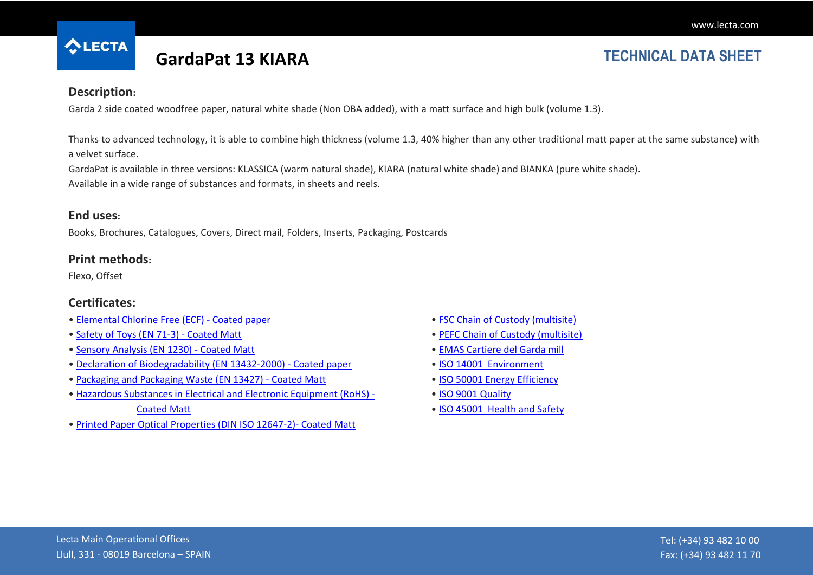

# **GardaPat 13 KIARA TECHNICAL DATA SHEET**

### **Description:**

Garda 2 side coated woodfree paper, natural white shade (Non OBA added), with a matt surface and high bulk (volume 1.3).

Thanks to advanced technology, it is able to combine high thickness (volume 1.3, 40% higher than any other traditional matt paper at the same substance) with a velvet surface.

GardaPat is available in three versions: KLASSICA (warm natural shade), KIARA (natural white shade) and BIANKA (pure white shade). Available in a wide range of substances and formats, in sheets and reels.

#### **End uses:**

Books, Brochures, Catalogues, Covers, Direct mail, Folders, Inserts, Packaging, Postcards

#### **Print methods:**

Flexo, Offset

### **Certificates:**

- [Elemental Chlorine Free \(ECF\) -](http://cmspro.lecta.com/Coated_Paper/LectaProductCertificates/Lecta_ECF_en.pdf) Coated paper
- [Safety of Toys \(EN 71-3\) -](http://cmspro.lecta.com/Coated_Paper/LectaProductCertificates/Matt_SafetyToys.pdf) Coated Matt
- [Sensory Analysis \(EN 1230\) -](http://cmspro.lecta.com/Coated_Paper/LectaProductCertificates/Matt_SensoryAnalysis.pdf) Coated Matt
- [Declaration of Biodegradability \(EN 13432-2000\) -](http://cmspro.lecta.com/Coated_Paper/LectaProductCertificates/DeclarationBiodegradability.pdf) Coated paper
- [Packaging and Packaging Waste \(EN 13427\) -](http://cmspro.lecta.com/Coated_Paper/LectaProductCertificates/Matt_Packaging.pdf) Coated Matt
- [Hazardous Substances in Electrical and Electronic Equipment \(RoHS\) -](http://cmspro.lecta.com/Coated_Paper/LectaProductCertificates/Matt_RoHS.pdf) [Coated Matt](http://cmspro.lecta.com/Coated_Paper/LectaProductCertificates/Matt_RoHS.pdf)
- [Printed Paper Optical Properties \(DIN ISO 12647-2\)-](http://cmspro.lecta.com/Coated_Paper/LectaProductCertificates/Matt_OpticalProperties.pdf) Coated Matt
- [FSC Chain of Custody \(multisite\)](http://cmspro.lecta.com/Certificates/FSCMultisite.pdf)
- [PEFC Chain of Custody \(multisite\)](http://cmspro.lecta.com/Certificates/PEFCMultisite.pdf)
- [EMAS Cartiere del Garda mill](http://cmspro.lecta.com/Certificates/GardaEMAS.pdf)
- [ISO 14001 Environment](http://cmspro.lecta.com/Certificates/Lecta14001.pdf)
- [ISO 50001 Energy Efficiency](http://cmspro.lecta.com/Certificates/Lecta50001.pdf)
- [ISO 9001 Quality](http://cmspro.lecta.com/Certificates/Lecta9001.pdf)
- [ISO 45001 Health and Safety](http://cmspro.lecta.com/Certificates/Lecta45001Multisite.pdf)